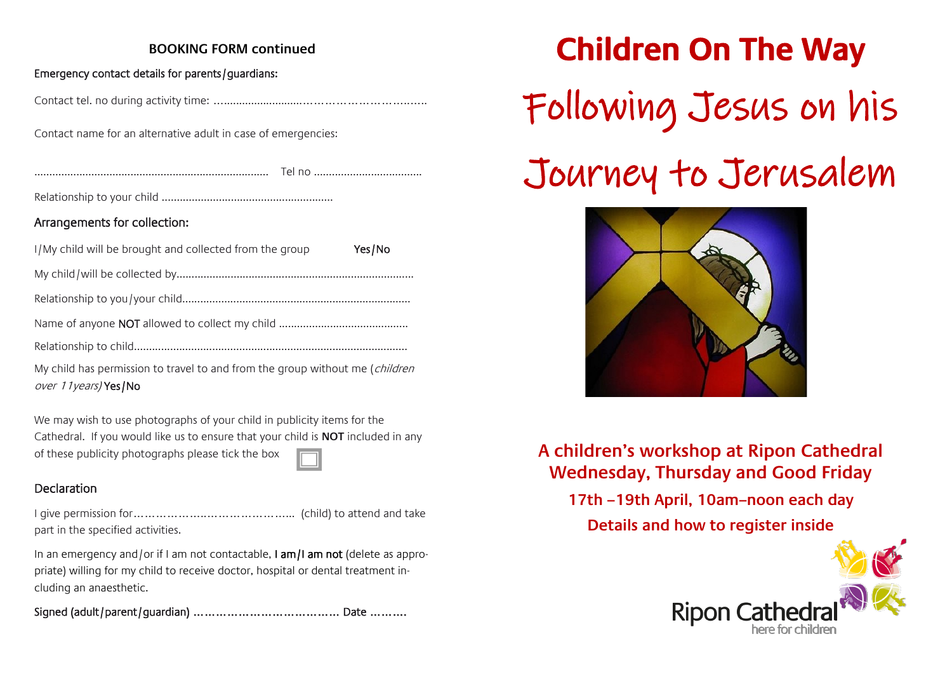### **BOOKING FORM continued**

#### Emergency contact details for parents/guardians:

Contact tel. no during activity time: …..........................………………………..…..

Contact name for an alternative adult in case of emergencies:

.............................................................................. Tel no ....................................

Relationship to your child .........................................................

#### Arrangements for collection:

| I/My child will be brought and collected from the group | Yes/No |  |
|---------------------------------------------------------|--------|--|
|                                                         |        |  |
|                                                         |        |  |
|                                                         |        |  |
|                                                         |        |  |

My child has permission to travel to and from the group without me (*children*) over 11years) Yes/No

We may wish to use photographs of your child in publicity items for the Cathedral. If you would like us to ensure that your child is **NOT** included in any of these publicity photographs please tick the box

#### Declaration

I give permission for………………..…………………... (child) to attend and take part in the specified activities.

In an emergency and/or if I am not contactable, I am/I am not (delete as appropriate) willing for my child to receive doctor, hospital or dental treatment including an anaesthetic.

Signed (adult/parent/guardian) ………………………………… Date ……….

**Children On The Way**  Following Jesus on his Journey to Jerusalem



**A children's workshop at Ripon Cathedral Wednesday, Thursday and Good Friday** 

**17th –19th April, 10am–noon each day Details and how to register inside**